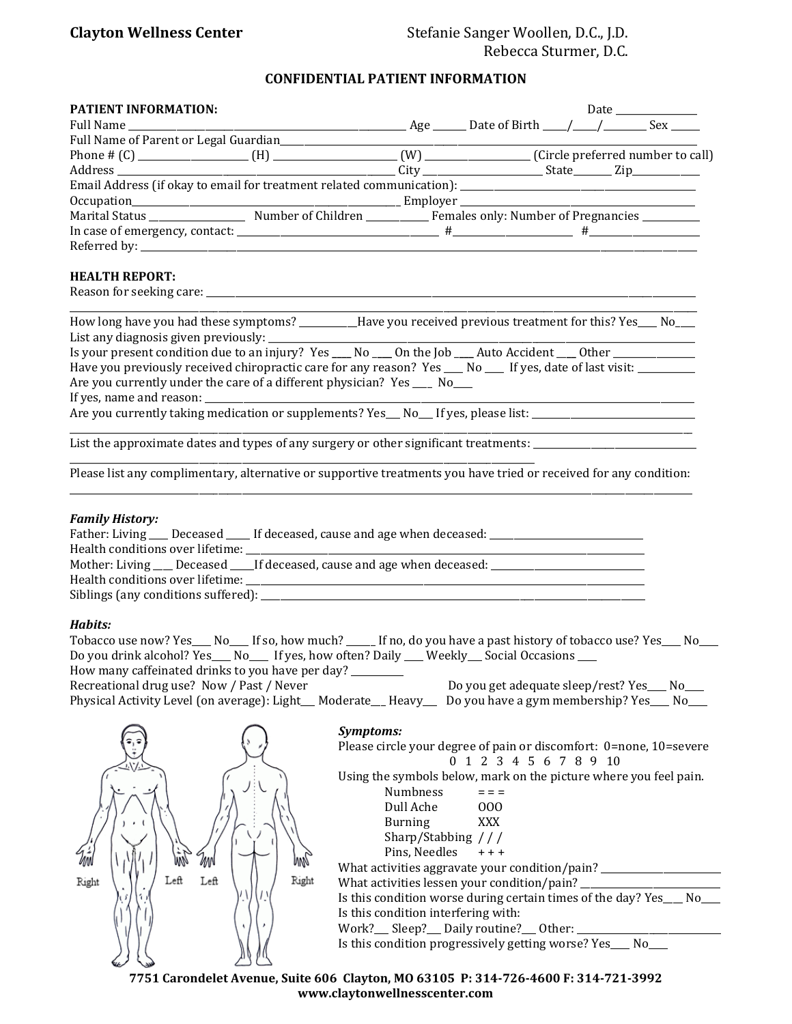## **Clayton Wellness Center** Stefanie Sanger Woollen, D.C., J.D. Rebecca Sturmer, D.C.

### **CONFIDENTIAL PATIENT INFORMATION**

| <b>PATIENT INFORMATION:</b>                                                           |  |  |  |
|---------------------------------------------------------------------------------------|--|--|--|
|                                                                                       |  |  |  |
| Full Name of Parent or Legal Guardian<br><u>Full Name</u> of Parent or Legal Guardian |  |  |  |
|                                                                                       |  |  |  |
|                                                                                       |  |  |  |
|                                                                                       |  |  |  |
|                                                                                       |  |  |  |
|                                                                                       |  |  |  |
|                                                                                       |  |  |  |
|                                                                                       |  |  |  |

#### **HEALTH REPORT:**

| Reason for seeking care: |  |
|--------------------------|--|
|                          |  |
|                          |  |

| How long have you had these symptoms?                                                                 |  | Have you received previous treatment for this? Yes___ No_ |
|-------------------------------------------------------------------------------------------------------|--|-----------------------------------------------------------|
| List any diagnosis given previously:                                                                  |  |                                                           |
| Is your present condition due to an injury? Yes ____ No ____ On the Job ____ Auto Accident ____ Other |  |                                                           |

| 13 your present condition due to an injury. Tes ___ no ___ on the job ___ nuto necturin ___ other __      |
|-----------------------------------------------------------------------------------------------------------|
| Have you previously received chiropractic care for any reason? Yes ___ No ___ If yes, date of last visit: |
| Are you currently under the care of a different physician? Yes _____ No                                   |
|                                                                                                           |

If yes, name and reason: \_\_\_\_\_\_\_\_\_\_\_\_\_\_\_\_\_\_\_\_\_\_\_\_\_\_\_\_\_\_\_\_\_\_\_\_\_\_\_\_\_\_\_\_\_\_\_\_\_\_\_\_\_\_\_\_\_\_\_\_\_\_\_\_\_\_\_\_\_\_\_\_\_\_\_\_\_\_\_\_\_\_\_\_\_\_\_\_\_\_\_\_\_\_\_\_\_\_\_\_\_\_

Are you currently taking medication or supplements? Yes\_\_ No\_\_ If yes, please list: \_\_\_\_\_\_\_\_\_\_\_\_\_\_\_\_\_\_\_\_\_\_\_\_\_\_\_

List the approximate dates and types of any surgery or other significant treatments: \_\_\_\_\_\_\_\_\_\_\_\_\_\_\_\_\_\_\_\_\_\_\_\_\_ \_\_\_\_\_\_\_\_\_\_\_\_\_\_\_\_\_\_\_\_\_\_\_\_\_\_\_\_\_\_\_\_\_\_\_\_\_\_\_\_\_\_\_\_\_\_\_\_\_\_\_\_\_\_\_\_\_\_\_\_\_\_\_\_\_\_\_\_\_\_\_\_\_\_\_\_\_\_\_\_\_\_\_\_\_\_\_\_\_\_\_\_\_\_\_\_\_

Please list any complimentary, alternative or supportive treatments you have tried or received for any condition: \_\_\_\_\_\_\_\_\_\_\_\_\_\_\_\_\_\_\_\_\_\_\_\_\_\_\_\_\_\_\_\_\_\_\_\_\_\_\_\_\_\_\_\_\_\_\_\_\_\_\_\_\_\_\_\_\_\_\_\_\_\_\_\_\_\_\_\_\_\_\_\_\_\_\_\_\_\_\_\_\_\_\_\_\_\_\_\_\_\_\_\_\_\_\_\_\_\_\_\_\_\_\_\_\_\_\_\_\_\_\_\_\_\_\_\_\_\_\_\_\_\_\_\_\_\_\_\_\_\_

#### *Family History:*

| Father: Living ___ Deceased ____ If deceased, cause and age when deceased: __________               |  |  |
|-----------------------------------------------------------------------------------------------------|--|--|
| Health conditions over lifetime:                                                                    |  |  |
| Mother: Living ___ Deceased ____ If deceased, cause and age when deceased: ________________________ |  |  |
| Health conditions over lifetime:                                                                    |  |  |
|                                                                                                     |  |  |
|                                                                                                     |  |  |

#### *Habits:*

| Tobacco use now? Yes____ No____ If so, how much? _____ If no, do you have a past history of tobacco use? Yes____ No___ |                                              |
|------------------------------------------------------------------------------------------------------------------------|----------------------------------------------|
| Do you drink alcohol? Yes___ No____ If yes, how often? Daily ___ Weekly___ Social Occasions ___                        |                                              |
| How many caffeinated drinks to you have per day? ______                                                                |                                              |
| Recreational drug use? Now / Past / Never                                                                              | Do you get adequate sleep/rest? Yes___ No___ |
| Physical Activity Level (on average): Light_Moderate_Heavy__Do you have a gym membership? Yes__No__                    |                                              |
|                                                                                                                        |                                              |



|                                                   | Please circle your degree of pain or discomfort: 0=none, 10=severe    |
|---------------------------------------------------|-----------------------------------------------------------------------|
|                                                   | 0 1 2 3 4 5 6 7 8 9 10                                                |
|                                                   | Using the symbols below, mark on the picture where you feel pain.     |
| <b>Numbness</b>                                   | $=$ $=$ $=$                                                           |
| Dull Ache                                         | 000                                                                   |
| Burning                                           | <b>XXX</b>                                                            |
| Sharp/Stabbing $//$                               |                                                                       |
| Pins, Needles $++$                                |                                                                       |
|                                                   | What activities aggravate your condition/pain?                        |
| What activities lessen your condition/pain? _____ |                                                                       |
|                                                   | Is this condition worse during certain times of the day? Yes___ No___ |
| Is this condition interfering with:               |                                                                       |
| Work?__ Sleep?__ Daily routine?__ Other: ___      |                                                                       |
|                                                   | Is this condition progressively getting worse? Yes___ No__            |

 $\frac{1}{2}$  ,  $\frac{1}{2}$  ,  $\frac{1}{2}$  ,  $\frac{1}{2}$  ,  $\frac{1}{2}$  ,  $\frac{1}{2}$  ,  $\frac{1}{2}$  ,  $\frac{1}{2}$  ,  $\frac{1}{2}$  ,  $\frac{1}{2}$  ,  $\frac{1}{2}$  ,  $\frac{1}{2}$  ,  $\frac{1}{2}$  ,  $\frac{1}{2}$  ,  $\frac{1}{2}$  ,  $\frac{1}{2}$  ,  $\frac{1}{2}$  ,  $\frac{1}{2}$  ,  $\frac{1$ 

**7751 Carondelet Avenue, Suite 606 Clayton, MO 63105 P: 314-726-4600 F: 314-721-3992 www.claytonwellnesscenter.com**